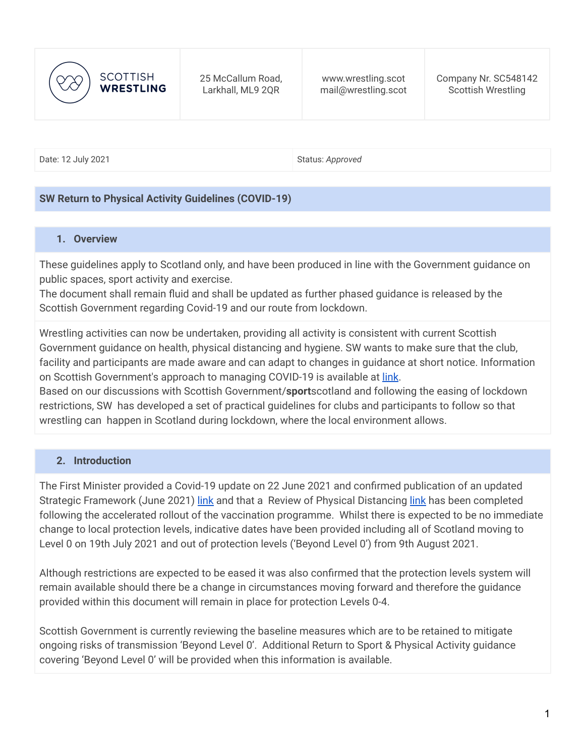

Date: 12 July 2021 **Status:** *Approved* Status: *Approved* 

#### **SW Return to Physical Activity Guidelines (COVID-19)**

#### **1. Overview**

These guidelines apply to Scotland only, and have been produced in line with the Government guidance on public spaces, sport activity and exercise.

The document shall remain fluid and shall be updated as further phased guidance is released by the Scottish Government regarding Covid-19 and our route from lockdown.

Wrestling activities can now be undertaken, providing all activity is consistent with current Scottish Government guidance on health, physical distancing and hygiene. SW wants to make sure that the club, facility and participants are made aware and can adapt to changes in guidance at short notice. Information on Scottish Government's approach to managing COVID-19 is available at *[link](https://www.gov.scot/coronavirus-covid-19/)*.

Based on our discussions with Scottish Government/**sport**scotland and following the easing of lockdown restrictions, SW has developed a set of practical guidelines for clubs and participants to follow so that wrestling can happen in Scotland during lockdown, where the local environment allows.

#### **2. Introduction**

The First Minister provided a Covid-19 update on 22 June 2021 and confirmed publication of an updated Strategic Framework (June 2021) [link](https://www.gov.scot/publications/coronavirus-covid-19-scotlands-strategic-framework-update-june-2021/) and that a Review of Physical Distancing [link](https://www.gov.scot/publications/coronavirus-covid-19-review-physical-distancing-scotland-june-2021/) has been completed following the accelerated rollout of the vaccination programme. Whilst there is expected to be no immediate change to local protection levels, indicative dates have been provided including all of Scotland moving to Level 0 on 19th July 2021 and out of protection levels ('Beyond Level 0') from 9th August 2021.

Although restrictions are expected to be eased it was also confirmed that the protection levels system will remain available should there be a change in circumstances moving forward and therefore the guidance provided within this document will remain in place for protection Levels 0-4.

Scottish Government is currently reviewing the baseline measures which are to be retained to mitigate ongoing risks of transmission 'Beyond Level 0'. Additional Return to Sport & Physical Activity guidance covering 'Beyond Level 0' will be provided when this information is available.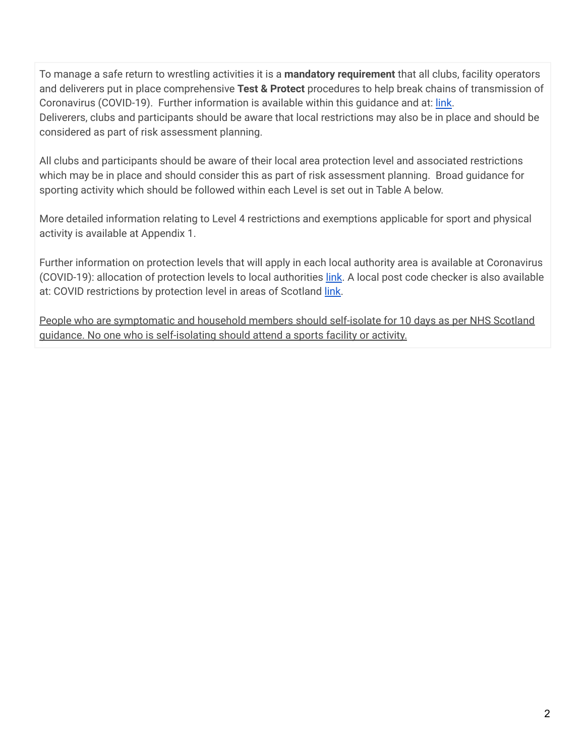To manage a safe return to wrestling activities it is a **mandatory requirement** that all clubs, facility operators and deliverers put in place comprehensive **Test & Protect** procedures to help break chains of transmission of Coronavirus (COVID-19). Further information is available within this guidance and at: [link](https://www.gov.scot/publications/coronavirus-covid-19-test-and-protect/). Deliverers, clubs and participants should be aware that local restrictions may also be in place and should be considered as part of risk assessment planning.

All clubs and participants should be aware of their local area protection level and associated restrictions which may be in place and should consider this as part of risk assessment planning. Broad guidance for sporting activity which should be followed within each Level is set out in Table A below.

More detailed information relating to Level 4 restrictions and exemptions applicable for sport and physical activity is available at Appendix 1.

Further information on protection levels that will apply in each local authority area is available at Coronavirus (COVID-19): allocation of protection levels to local authorities [link](https://www.gov.scot/publications/coronavirus-covid-19-allocation-of-levels-to-local-authorities/). A local post code checker is also available at: COVID restrictions by protection level in areas of Scotland [link.](https://www.gov.scot/check-local-covid-level/)

People who are symptomatic and household members should self-isolate for 10 days as per NHS Scotland guidance. No one who is self-isolating should attend a sports facility or activity.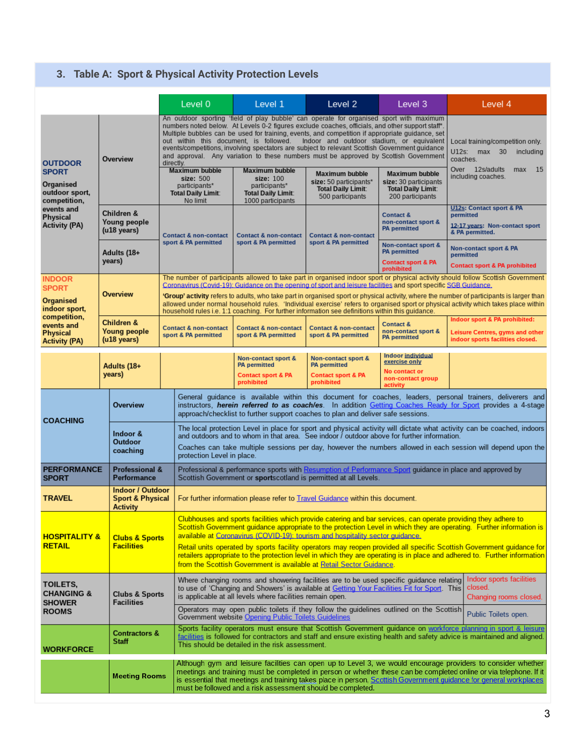# **3. Table A: Sport & Physical Activity Protection Levels**

|                                                                                                                                        |                                                                           | Level 0                                                                                                                                                                                                                                                                                                                                                                                                                                                                                                                                                                  | Level 1                                                                                                                                                                                                                                                                                                                                                                                     | Level 2                                                                                          | Level 3                                                                                         | Level 4                                                                                                                                                                                                                                                                                                                                                  |  |  |  |
|----------------------------------------------------------------------------------------------------------------------------------------|---------------------------------------------------------------------------|--------------------------------------------------------------------------------------------------------------------------------------------------------------------------------------------------------------------------------------------------------------------------------------------------------------------------------------------------------------------------------------------------------------------------------------------------------------------------------------------------------------------------------------------------------------------------|---------------------------------------------------------------------------------------------------------------------------------------------------------------------------------------------------------------------------------------------------------------------------------------------------------------------------------------------------------------------------------------------|--------------------------------------------------------------------------------------------------|-------------------------------------------------------------------------------------------------|----------------------------------------------------------------------------------------------------------------------------------------------------------------------------------------------------------------------------------------------------------------------------------------------------------------------------------------------------------|--|--|--|
| <b>OUTDOOR</b><br><b>SPORT</b><br>Organised<br>outdoor sport.<br>competition,<br>events and<br><b>Physical</b><br><b>Activity (PA)</b> | Overview                                                                  | An outdoor sporting 'field of play bubble' can operate for organised sport with maximum<br>numbers noted below. At Levels 0-2 figures exclude coaches, officials, and other support staff*.<br>Multiple bubbles can be used for training, events, and competition if appropriate guidance, set<br>out within this document, is followed.<br>events/competitions, involving spectators are subject to relevant Scottish Government guidance<br>and approval. Any variation to these numbers must be approved by Scottish Government<br>directly.<br><b>Maximum bubble</b> | Local training/competition only.<br>U12s: max 30<br>including<br>coaches.<br>Over 12s/adults<br>15<br>max                                                                                                                                                                                                                                                                                   |                                                                                                  |                                                                                                 |                                                                                                                                                                                                                                                                                                                                                          |  |  |  |
|                                                                                                                                        |                                                                           | size: 500<br>participants*<br><b>Total Daily Limit:</b><br>No limit                                                                                                                                                                                                                                                                                                                                                                                                                                                                                                      | <b>Maximum bubble</b><br>size: 100<br>participants*<br><b>Total Daily Limit:</b><br>1000 participants                                                                                                                                                                                                                                                                                       | <b>Maximum bubble</b><br>size: 50 participants*<br><b>Total Daily Limit:</b><br>500 participants | <b>Maximum bubble</b><br>size: 30 participants<br><b>Total Daily Limit:</b><br>200 participants | including coaches.                                                                                                                                                                                                                                                                                                                                       |  |  |  |
|                                                                                                                                        | Children &<br>Young people<br>(u18 years)                                 | <b>Contact &amp; non-contact</b>                                                                                                                                                                                                                                                                                                                                                                                                                                                                                                                                         | <b>Contact &amp; non-contact</b><br>sport & PA permitted                                                                                                                                                                                                                                                                                                                                    | <b>Contact &amp; non-contact</b><br>sport & PA permitted                                         | <b>Contact &amp;</b><br>non-contact sport &<br><b>PA</b> permitted                              | <b>U12s: Contact sport &amp; PA</b><br>permitted<br>12-17 years: Non-contact sport<br>& PA permitted.                                                                                                                                                                                                                                                    |  |  |  |
|                                                                                                                                        | Adults (18+<br>years)                                                     | sport & PA permitted                                                                                                                                                                                                                                                                                                                                                                                                                                                                                                                                                     |                                                                                                                                                                                                                                                                                                                                                                                             |                                                                                                  | Non-contact sport &<br><b>PA</b> permitted<br><b>Contact sport &amp; PA</b><br>prohibited       | Non-contact sport & PA<br>permitted<br><b>Contact sport &amp; PA prohibited</b>                                                                                                                                                                                                                                                                          |  |  |  |
| <b>INDOOR</b>                                                                                                                          |                                                                           | The number of participants allowed to take part in organised indoor sport or physical activity should follow Scottish Government<br>Coronavirus (Covid-19): Guidance on the opening of sport and leisure facilities and sport specific SGB Guidance.                                                                                                                                                                                                                                                                                                                     |                                                                                                                                                                                                                                                                                                                                                                                             |                                                                                                  |                                                                                                 |                                                                                                                                                                                                                                                                                                                                                          |  |  |  |
| <b>SPORT</b><br><b>Organised</b><br>indoor sport,                                                                                      | <b>Overview</b>                                                           |                                                                                                                                                                                                                                                                                                                                                                                                                                                                                                                                                                          | <b>'Group' activity</b> refers to adults, who take part in organised sport or physical activity, where the number of participants is larger than<br>allowed under normal household rules. 'Individual exercise' refers to organised sport or physical activity which takes place within<br>household rules i.e. 1:1 coaching. For further information see definitions within this guidance. |                                                                                                  |                                                                                                 |                                                                                                                                                                                                                                                                                                                                                          |  |  |  |
| competition,<br>events and<br><b>Physical</b><br><b>Activity (PA)</b>                                                                  | Children &<br><b>Young people</b><br>(u18 years)                          | <b>Contact &amp; non-contact</b><br>sport & PA permitted                                                                                                                                                                                                                                                                                                                                                                                                                                                                                                                 | <b>Contact &amp; non-contact</b><br>sport & PA permitted                                                                                                                                                                                                                                                                                                                                    | <b>Contact &amp; non-contact</b><br>sport & PA permitted                                         | <b>Contact &amp;</b><br>non-contact sport &<br><b>PA</b> permitted                              | Indoor sport & PA prohibited:<br>Leisure Centres, gyms and other<br>indoor sports facilities closed.                                                                                                                                                                                                                                                     |  |  |  |
|                                                                                                                                        | Adults (18+<br>years)                                                     |                                                                                                                                                                                                                                                                                                                                                                                                                                                                                                                                                                          | Non-contact sport &<br><b>PA</b> permitted                                                                                                                                                                                                                                                                                                                                                  | Non-contact sport &<br><b>PA</b> permitted                                                       | <b>Indoor individual</b><br>exercise only                                                       |                                                                                                                                                                                                                                                                                                                                                          |  |  |  |
|                                                                                                                                        |                                                                           |                                                                                                                                                                                                                                                                                                                                                                                                                                                                                                                                                                          | <b>Contact sport &amp; PA</b><br>prohibited                                                                                                                                                                                                                                                                                                                                                 | <b>Contact sport &amp; PA</b><br>prohibited                                                      | No contact or<br>non-contact group<br>activity                                                  |                                                                                                                                                                                                                                                                                                                                                          |  |  |  |
| <b>COACHING</b>                                                                                                                        | Overview                                                                  |                                                                                                                                                                                                                                                                                                                                                                                                                                                                                                                                                                          | General guidance is available within this document for coaches, leaders, personal trainers, deliverers and<br>instructors, herein referred to as coach/es. In addition Getting Coaches Ready for Sport provides a 4-stage<br>approach/checklist to further support coaches to plan and deliver safe sessions.                                                                               |                                                                                                  |                                                                                                 |                                                                                                                                                                                                                                                                                                                                                          |  |  |  |
|                                                                                                                                        | Indoor &<br><b>Outdoor</b><br>coaching                                    | protection Level in place.                                                                                                                                                                                                                                                                                                                                                                                                                                                                                                                                               | The local protection Level in place for sport and physical activity will dictate what activity can be coached, indoors<br>and outdoors and to whom in that area. See indoor <i>I</i> outdoor above for further information.<br>Coaches can take multiple sessions per day, however the numbers allowed in each session will depend upon the                                                 |                                                                                                  |                                                                                                 |                                                                                                                                                                                                                                                                                                                                                          |  |  |  |
| <b>PERFORMANCE</b><br><b>SPORT</b>                                                                                                     | <b>Professional &amp;</b><br><b>Performance</b>                           |                                                                                                                                                                                                                                                                                                                                                                                                                                                                                                                                                                          | Professional & performance sports with Resumption of Performance Sport guidance in place and approved by<br>Scottish Government or sportscotland is permitted at all Levels.                                                                                                                                                                                                                |                                                                                                  |                                                                                                 |                                                                                                                                                                                                                                                                                                                                                          |  |  |  |
| <b>TRAVEL</b>                                                                                                                          | <b>Indoor / Outdoor</b><br><b>Sport &amp; Physical</b><br><b>Activity</b> |                                                                                                                                                                                                                                                                                                                                                                                                                                                                                                                                                                          | For further information please refer to Travel Guidance within this document.                                                                                                                                                                                                                                                                                                               |                                                                                                  |                                                                                                 |                                                                                                                                                                                                                                                                                                                                                          |  |  |  |
| <b>HOSPITALITY &amp;</b>                                                                                                               | <b>Clubs &amp; Sports</b><br><b>Facilities</b>                            | Clubhouses and sports facilities which provide catering and bar services, can operate providing they adhere to<br>Scottish Government guidance appropriate to the protection Level in which they are operating. Further information is<br>available at Coronavirus (COVID-19): tourism and hospitality sector guidance.                                                                                                                                                                                                                                                  |                                                                                                                                                                                                                                                                                                                                                                                             |                                                                                                  |                                                                                                 |                                                                                                                                                                                                                                                                                                                                                          |  |  |  |
| <b>RETAIL</b>                                                                                                                          |                                                                           |                                                                                                                                                                                                                                                                                                                                                                                                                                                                                                                                                                          | Retail units operated by sports facility operators may reopen provided all specific Scottish Government guidance for<br>retailers appropriate to the protection level in which they are operating is in place and adhered to. Further information<br>from the Scottish Government is available at Retail Sector Guidance.                                                                   |                                                                                                  |                                                                                                 |                                                                                                                                                                                                                                                                                                                                                          |  |  |  |
| TOILETS,<br><b>CHANGING &amp;</b><br><b>SHOWER</b><br><b>ROOMS</b>                                                                     | <b>Clubs &amp; Sports</b><br><b>Facilities</b>                            | Indoor sports facilities<br>Where changing rooms and showering facilities are to be used specific guidance relating<br>closed.<br>to use of 'Changing and Showers' is available at Getting Your Facilities Fit for Sport. This<br>is applicable at all levels where facilities remain open.<br>Changing rooms closed.                                                                                                                                                                                                                                                    |                                                                                                                                                                                                                                                                                                                                                                                             |                                                                                                  |                                                                                                 |                                                                                                                                                                                                                                                                                                                                                          |  |  |  |
|                                                                                                                                        |                                                                           |                                                                                                                                                                                                                                                                                                                                                                                                                                                                                                                                                                          | Operators may open public toilets if they follow the quidelines outlined on the Scottish<br>Public Toilets open.<br>Government website Opening Public Toilets Guidelines                                                                                                                                                                                                                    |                                                                                                  |                                                                                                 |                                                                                                                                                                                                                                                                                                                                                          |  |  |  |
| <b>WORKFORCE</b>                                                                                                                       | <b>Contractors &amp;</b><br><b>Staff</b>                                  |                                                                                                                                                                                                                                                                                                                                                                                                                                                                                                                                                                          | This should be detailed in the risk assessment.                                                                                                                                                                                                                                                                                                                                             |                                                                                                  |                                                                                                 | Sports facility operators must ensure that Scottish Government quidance on workforce planning in sport & leisure<br>facilities is followed for contractors and staff and ensure existing health and safety advice is maintained and aligned.                                                                                                             |  |  |  |
|                                                                                                                                        | <b>Meeting Rooms</b>                                                      |                                                                                                                                                                                                                                                                                                                                                                                                                                                                                                                                                                          | must be followed and a risk assessment should be completed.                                                                                                                                                                                                                                                                                                                                 |                                                                                                  |                                                                                                 | Although gym and leisure facilities can open up to Level 3, we would encourage providers to consider whether<br>meetings and training must be completed in person or whether these can be completed online or via telephone. If it<br>is essential that meetings and training takes place in person, Scottish Government quidance for general workplaces |  |  |  |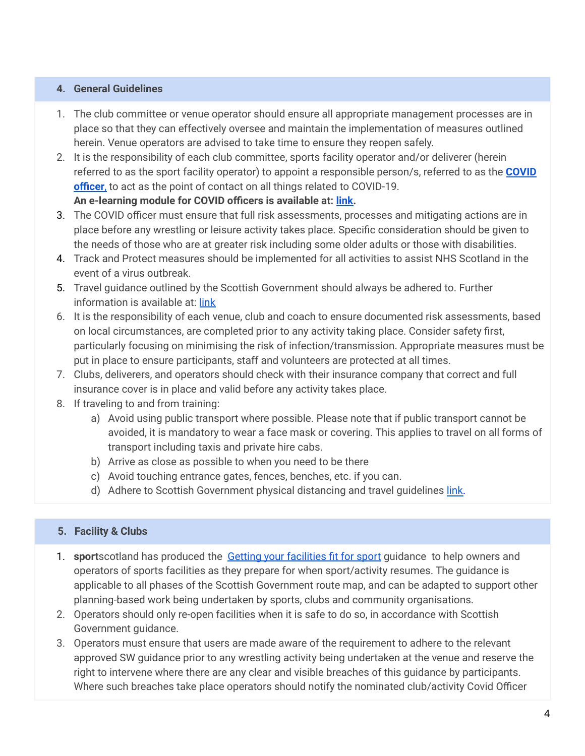### **4. General Guidelines**

- 1. The club committee or venue operator should ensure all appropriate management processes are in place so that they can effectively oversee and maintain the implementation of measures outlined herein. Venue operators are advised to take time to ensure they reopen safely.
- 2. It is the responsibility of each club committee, sports facility operator and/or deliverer (herein referred to as the sport facility operator) to appoint a responsible person/s, referred to as the **[COVID](https://sportscotland.org.uk/media/5950/sportscotland-covid-officer.pdf) [officer](https://sportscotland.org.uk/media/5950/sportscotland-covid-officer.pdf)**, to act as the point of contact on all things related to COVID-19. **An e-learning module for COVID officers is available at: [link.](https://rise.articulate.com/share/LlEWUj-o23H_4gC1AF002jdxdrCucQC0#/)**
- 3. The COVID officer must ensure that full risk assessments, processes and mitigating actions are in place before any wrestling or leisure activity takes place. Specific consideration should be given to the needs of those who are at greater risk including some older adults or those with disabilities.
- 4. Track and Protect measures should be implemented for all activities to assist NHS Scotland in the event of a virus outbreak.
- 5. Travel guidance outlined by the Scottish Government should always be adhered to. Further information is available at: [link](https://www.gov.scot/publications/coronavirus-covid-19-guidance-on-travel-and-transport/)
- 6. It is the responsibility of each venue, club and coach to ensure documented risk assessments, based on local circumstances, are completed prior to any activity taking place. Consider safety first, particularly focusing on minimising the risk of infection/transmission. Appropriate measures must be put in place to ensure participants, staff and volunteers are protected at all times.
- 7. Clubs, deliverers, and operators should check with their insurance company that correct and full insurance cover is in place and valid before any activity takes place.
- 8. If traveling to and from training:
	- a) Avoid using public transport where possible. Please note that if public transport cannot be avoided, it is mandatory to wear a face mask or covering. This applies to travel on all forms of transport including taxis and private hire cabs.
	- b) Arrive as close as possible to when you need to be there
	- c) Avoid touching entrance gates, fences, benches, etc. if you can.
	- d) Adhere to Scottish Government physical distancing and travel guidelines [link.](https://www.gov.scot/publications/coronavirus-covid-19-review-physical-distancing-scotland-june-2021/)

### **5. Facility & Clubs**

- 1. **sport**scotland has produced the Getting your [facilities](https://sportscotland.org.uk/covid-19/getting-your-facilities-fit-for-sport/) fit for sport guidance to help owners and operators of sports facilities as they prepare for when sport/activity resumes. The guidance is applicable to all phases of the Scottish Government route map, and can be adapted to support other planning-based work being undertaken by sports, clubs and community organisations.
- 2. Operators should only re-open facilities when it is safe to do so, in accordance with Scottish Government guidance.
- 3. Operators must ensure that users are made aware of the requirement to adhere to the relevant approved SW guidance prior to any wrestling activity being undertaken at the venue and reserve the right to intervene where there are any clear and visible breaches of this guidance by participants. Where such breaches take place operators should notify the nominated club/activity Covid Officer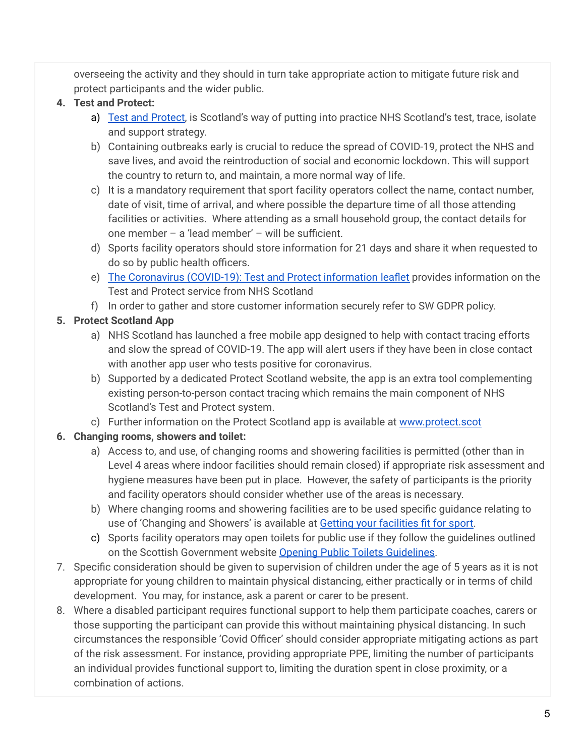overseeing the activity and they should in turn take appropriate action to mitigate future risk and protect participants and the wider public.

# **4. Test and Protect:**

- a) Test and [Protect,](https://www.nhsinform.scot/campaigns/test-and-protect) is Scotland's way of putting into practice NHS Scotland's test, trace, isolate and support strategy.
- b) Containing outbreaks early is crucial to reduce the spread of COVID-19, protect the NHS and save lives, and avoid the reintroduction of social and economic lockdown. This will support the country to return to, and maintain, a more normal way of life.
- c) It is a mandatory requirement that sport facility operators collect the name, contact number, date of visit, time of arrival, and where possible the departure time of all those attending facilities or activities. Where attending as a small household group, the contact details for one member – a 'lead member' – will be sufficient.
- d) Sports facility operators should store information for 21 days and share it when requested to do so by public health officers.
- e) The [Coronavirus](https://www.gov.scot/publications/coronavirus-covid-19-test-and-protect-coronavirus-service/) (COVID-19): Test and Protect information leaflet provides information on the Test and Protect service from NHS Scotland
- f) In order to gather and store customer information securely refer to SW GDPR policy.

# **5. Protect Scotland App**

- a) NHS Scotland has launched a free mobile app designed to help with contact tracing efforts and slow the spread of COVID-19. The app will alert users if they have been in close contact with another app user who tests positive for coronavirus.
- b) Supported by a dedicated Protect Scotland website, the app is an extra tool complementing existing person-to-person contact tracing which remains the main component of NHS Scotland's Test and Protect system.
- c) Further information on the Protect Scotland app is available at [www.protect.scot](http://www.protect.scot)

# **6. Changing rooms, showers and toilet:**

- a) Access to, and use, of changing rooms and showering facilities is permitted (other than in Level 4 areas where indoor facilities should remain closed) if appropriate risk assessment and hygiene measures have been put in place. However, the safety of participants is the priority and facility operators should consider whether use of the areas is necessary.
- b) Where changing rooms and showering facilities are to be used specific guidance relating to use of 'Changing and Showers' is available at Getting your [facilities](https://sportscotland.org.uk/covid-19/getting-your-facilities-fit-for-sport/) fit for sport.
- c) Sports facility operators may open toilets for public use if they follow the guidelines outlined on the Scottish Government website Opening Public Toilets [Guidelines](https://www.gov.scot/publications/coronavirus-covid-19-public-and-customer-toilets-guidance/pages/overview/).
- 7. Specific consideration should be given to supervision of children under the age of 5 years as it is not appropriate for young children to maintain physical distancing, either practically or in terms of child development. You may, for instance, ask a parent or carer to be present.
- 8. Where a disabled participant requires functional support to help them participate coaches, carers or those supporting the participant can provide this without maintaining physical distancing. In such circumstances the responsible 'Covid Officer' should consider appropriate mitigating actions as part of the risk assessment. For instance, providing appropriate PPE, limiting the number of participants an individual provides functional support to, limiting the duration spent in close proximity, or a combination of actions.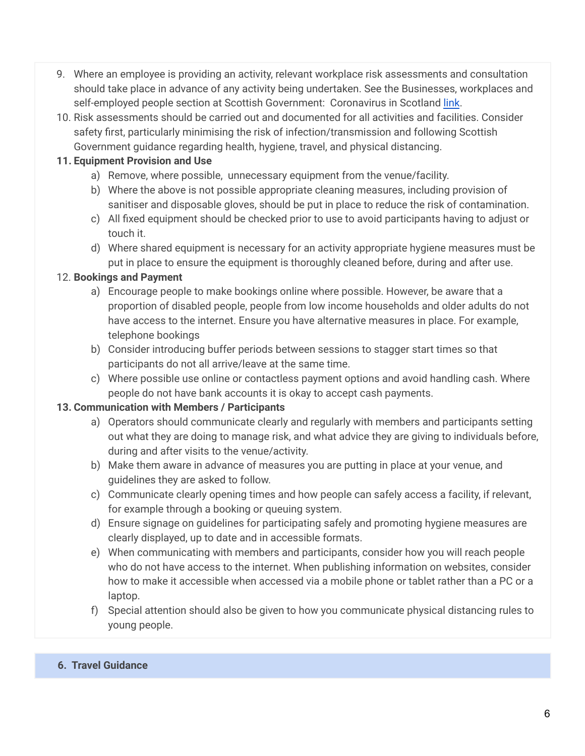- 9. Where an employee is providing an activity, relevant workplace risk assessments and consultation should take place in advance of any activity being undertaken. See the Businesses, workplaces and self-employed people section at Scottish Government: Coronavirus in Scotland [link](https://www.gov.scot/coronavirus-covid-19/).
- 10. Risk assessments should be carried out and documented for all activities and facilities. Consider safety first, particularly minimising the risk of infection/transmission and following Scottish Government guidance regarding health, hygiene, travel, and physical distancing.

## **11. Equipment Provision and Use**

- a) Remove, where possible, unnecessary equipment from the venue/facility.
- b) Where the above is not possible appropriate cleaning measures, including provision of sanitiser and disposable gloves, should be put in place to reduce the risk of contamination.
- c) All fixed equipment should be checked prior to use to avoid participants having to adjust or touch it.
- d) Where shared equipment is necessary for an activity appropriate hygiene measures must be put in place to ensure the equipment is thoroughly cleaned before, during and after use.

## 12. **Bookings and Payment**

- a) Encourage people to make bookings online where possible. However, be aware that a proportion of disabled people, people from low income households and older adults do not have access to the internet. Ensure you have alternative measures in place. For example, telephone bookings
- b) Consider introducing buffer periods between sessions to stagger start times so that participants do not all arrive/leave at the same time.
- c) Where possible use online or contactless payment options and avoid handling cash. Where people do not have bank accounts it is okay to accept cash payments.

# **13. Communication with Members / Participants**

- a) Operators should communicate clearly and regularly with members and participants setting out what they are doing to manage risk, and what advice they are giving to individuals before, during and after visits to the venue/activity.
- b) Make them aware in advance of measures you are putting in place at your venue, and guidelines they are asked to follow.
- c) Communicate clearly opening times and how people can safely access a facility, if relevant, for example through a booking or queuing system.
- d) Ensure signage on guidelines for participating safely and promoting hygiene measures are clearly displayed, up to date and in accessible formats.
- e) When communicating with members and participants, consider how you will reach people who do not have access to the internet. When publishing information on websites, consider how to make it accessible when accessed via a mobile phone or tablet rather than a PC or a laptop.
- f) Special attention should also be given to how you communicate physical distancing rules to young people.

## **6. Travel Guidance**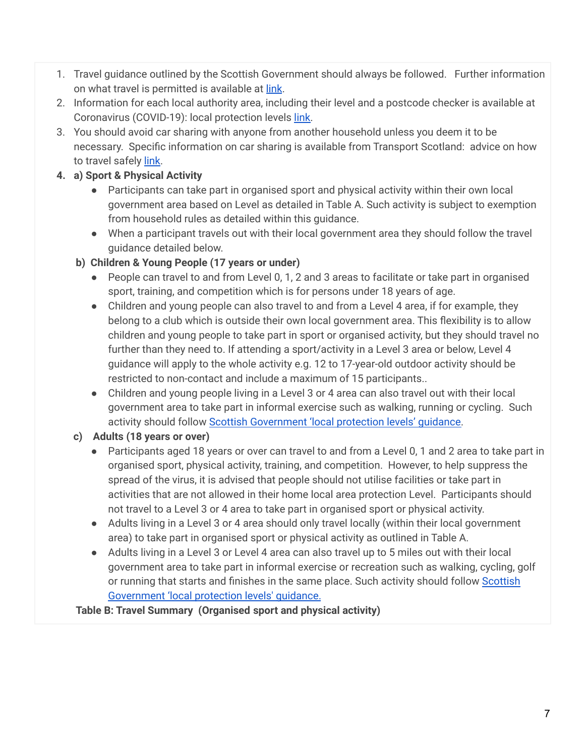- 1. Travel guidance outlined by the Scottish Government should always be followed. Further information on what travel is permitted is available at [link](https://www.gov.scot/publications/coronavirus-covid-19-guidance-on-travel-and-transport/).
- 2. Information for each local authority area, including their level and a postcode checker is available at Coronavirus (COVID-19): local protection levels [link.](https://www.gov.scot/publications/coronavirus-covid-19-protection-levels/)
- 3. You should avoid car sharing with anyone from another household unless you deem it to be necessary. Specific information on car sharing is available from Transport Scotland: advice on how to travel safely [link.](https://www.transport.gov.scot/coronavirus-covid-19/transport-transition-plan/advice-on-how-to-travel-safely/#section-63888)

# **4. a) Sport & Physical Activity**

- Participants can take part in organised sport and physical activity within their own local government area based on Level as detailed in Table A. Such activity is subject to exemption from household rules as detailed within this guidance.
- When a participant travels out with their local government area they should follow the travel guidance detailed below.
- **b) Children & Young People (17 years or under)**
	- People can travel to and from Level 0, 1, 2 and 3 areas to facilitate or take part in organised sport, training, and competition which is for persons under 18 years of age.
	- Children and young people can also travel to and from a Level 4 area, if for example, they belong to a club which is outside their own local government area. This flexibility is to allow children and young people to take part in sport or organised activity, but they should travel no further than they need to. If attending a sport/activity in a Level 3 area or below, Level 4 guidance will apply to the whole activity e.g. 12 to 17-year-old outdoor activity should be restricted to non-contact and include a maximum of 15 participants..
	- Children and young people living in a Level 3 or 4 area can also travel out with their local government area to take part in informal exercise such as walking, running or cycling. Such activity should follow **Scottish [Government](https://www.gov.scot/publications/coronavirus-covid-19-protection-levels/pages/protection-levels-by-area/) 'local protection levels' guidance.**
- **c) Adults (18 years or over)**
	- Participants aged 18 years or over can travel to and from a Level 0, 1 and 2 area to take part in organised sport, physical activity, training, and competition. However, to help suppress the spread of the virus, it is advised that people should not utilise facilities or take part in activities that are not allowed in their home local area protection Level. Participants should not travel to a Level 3 or 4 area to take part in organised sport or physical activity.
	- Adults living in a Level 3 or 4 area should only travel locally (within their local government area) to take part in organised sport or physical activity as outlined in Table A.
	- Adults living in a Level 3 or Level 4 area can also travel up to 5 miles out with their local government area to take part in informal exercise or recreation such as walking, cycling, golf or running that starts and finishes in the same place. Such activity should follow [Scottish](https://www.gov.scot/publications/coronavirus-covid-19-protection-levels/) [Government](https://www.gov.scot/publications/coronavirus-covid-19-protection-levels/) 'local protection levels' guidance.

**Table B: Travel Summary (Organised sport and physical activity)**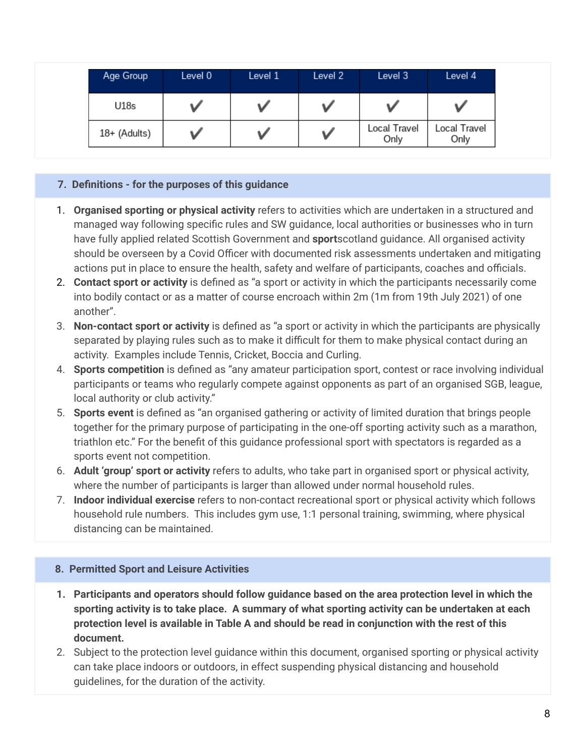| Age Group    | Level 0 | Level 1 | Level 2 | Level 3              | Level 4              |
|--------------|---------|---------|---------|----------------------|----------------------|
| U18s         |         |         |         |                      |                      |
| 18+ (Adults) |         |         |         | Local Travel<br>Only | Local Travel<br>Only |

### **7. Definitions - for the purposes of this guidance**

- 1. **Organised sporting or physical activity** refers to activities which are undertaken in a structured and managed way following specific rules and SW guidance, local authorities or businesses who in turn have fully applied related Scottish Government and **sport**scotland guidance. All organised activity should be overseen by a Covid Officer with documented risk assessments undertaken and mitigating actions put in place to ensure the health, safety and welfare of participants, coaches and officials.
- 2. **Contact sport or activity** is defined as "a sport or activity in which the participants necessarily come into bodily contact or as a matter of course encroach within 2m (1m from 19th July 2021) of one another".
- 3. **Non-contact sport or activity** is defined as "a sport or activity in which the participants are physically separated by playing rules such as to make it difficult for them to make physical contact during an activity. Examples include Tennis, Cricket, Boccia and Curling.
- 4. **Sports competition** is defined as "any amateur participation sport, contest or race involving individual participants or teams who regularly compete against opponents as part of an organised SGB, league, local authority or club activity."
- 5. **Sports event** is defined as "an organised gathering or activity of limited duration that brings people together for the primary purpose of participating in the one-off sporting activity such as a marathon, triathlon etc." For the benefit of this guidance professional sport with spectators is regarded as a sports event not competition.
- 6. **Adult 'group' sport or activity** refers to adults, who take part in organised sport or physical activity, where the number of participants is larger than allowed under normal household rules.
- 7. **Indoor individual exercise** refers to non-contact recreational sport or physical activity which follows household rule numbers. This includes gym use, 1:1 personal training, swimming, where physical distancing can be maintained.

### **8. Permitted Sport and Leisure Activities**

- **1. Participants and operators should follow guidance based on the area protection level in which the sporting activity is to take place. A summary of what sporting activity can be undertaken at each protection level is available in Table A and should be read in conjunction with the rest of this document.**
- 2. Subject to the protection level guidance within this document, organised sporting or physical activity can take place indoors or outdoors, in effect suspending physical distancing and household guidelines, for the duration of the activity.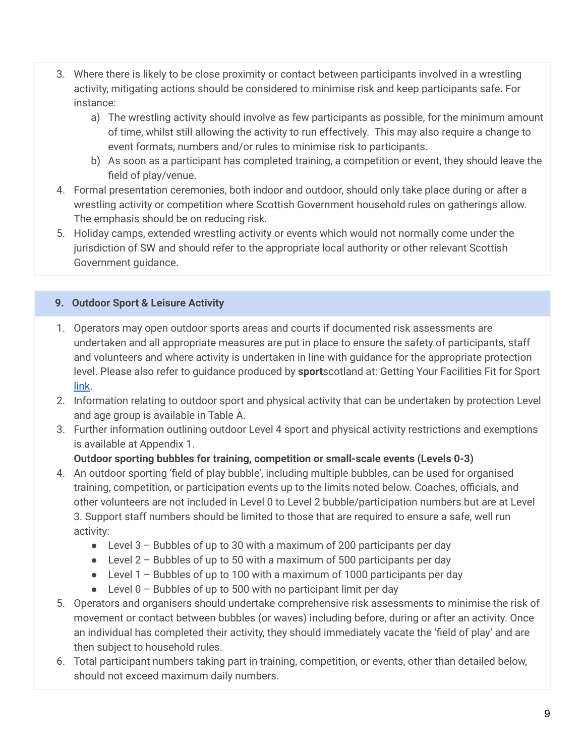- 3. Where there is likely to be close proximity or contact between participants involved in a wrestling activity, mitigating actions should be considered to minimise risk and keep participants safe. For instance:
	- a) The wrestling activity should involve as few participants as possible, for the minimum amount of time, whilst still allowing the activity to run effectively. This may also require a change to event formats, numbers and/or rules to minimise risk to participants.
	- b) As soon as a participant has completed training, a competition or event, they should leave the field of play/venue.
- 4. Formal presentation ceremonies, both indoor and outdoor, should only take place during or after a wrestling activity or competition where Scottish Government household rules on gatherings allow. The emphasis should be on reducing risk.
- 5. Holiday camps, extended wrestling activity or events which would not normally come under the jurisdiction of SW and should refer to the appropriate local authority or other relevant Scottish Government guidance.

# **9. Outdoor Sport & Leisure Activity**

- 1. Operators may open outdoor sports areas and courts if documented risk assessments are undertaken and all appropriate measures are put in place to ensure the safety of participants, staff and volunteers and where activity is undertaken in line with guidance for the appropriate protection level. Please also refer to guidance produced by **sport**scotland at: Getting Your Facilities Fit for Sport [link](https://sportscotland.org.uk/covid-19/getting-your-facilities-fit-for-sport/).
- 2. Information relating to outdoor sport and physical activity that can be undertaken by protection Level and age group is available in Table A.
- 3. Further information outlining outdoor Level 4 sport and physical activity restrictions and exemptions is available at Appendix 1.

## **Outdoor sporting bubbles for training, competition or small-scale events (Levels 0-3)**

- 4. An outdoor sporting 'field of play bubble', including multiple bubbles, can be used for organised training, competition, or participation events up to the limits noted below. Coaches, officials, and other volunteers are not included in Level 0 to Level 2 bubble/participation numbers but are at Level 3. Support staff numbers should be limited to those that are required to ensure a safe, well run activity:
	- Level  $3$  Bubbles of up to 30 with a maximum of 200 participants per day
	- Level  $2 -$  Bubbles of up to 50 with a maximum of 500 participants per day
	- $\bullet$  Level 1 Bubbles of up to 100 with a maximum of 1000 participants per day
	- $\bullet$  Level 0 Bubbles of up to 500 with no participant limit per day
- 5. Operators and organisers should undertake comprehensive risk assessments to minimise the risk of movement or contact between bubbles (or waves) including before, during or after an activity. Once an individual has completed their activity, they should immediately vacate the 'field of play' and are then subject to household rules.
- 6. Total participant numbers taking part in training, competition, or events, other than detailed below, should not exceed maximum daily numbers.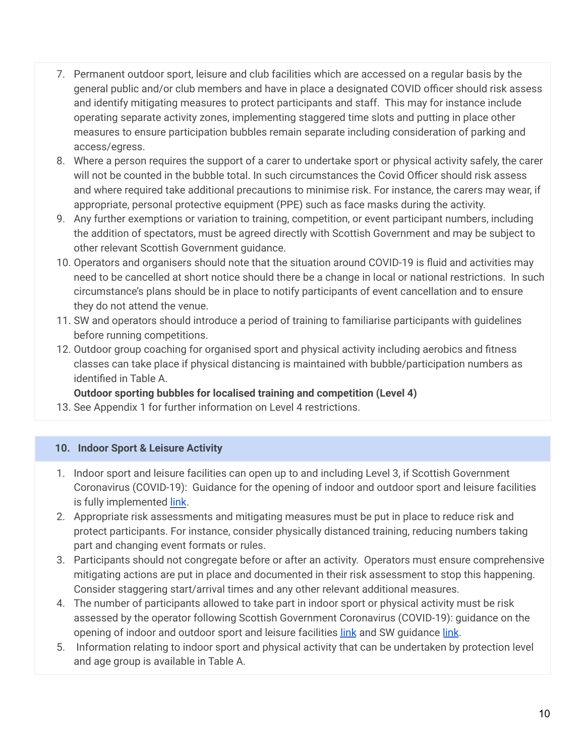- 7. Permanent outdoor sport, leisure and club facilities which are accessed on a regular basis by the general public and/or club members and have in place a designated COVID officer should risk assess and identify mitigating measures to protect participants and staff. This may for instance include operating separate activity zones, implementing staggered time slots and putting in place other measures to ensure participation bubbles remain separate including consideration of parking and access/egress.
- 8. Where a person requires the support of a carer to undertake sport or physical activity safely, the carer will not be counted in the bubble total. In such circumstances the Covid Officer should risk assess and where required take additional precautions to minimise risk. For instance, the carers may wear, if appropriate, personal protective equipment (PPE) such as face masks during the activity.
- 9. Any further exemptions or variation to training, competition, or event participant numbers, including the addition of spectators, must be agreed directly with Scottish Government and may be subject to other relevant Scottish Government guidance.
- 10. Operators and organisers should note that the situation around COVID-19 is fluid and activities may need to be cancelled at short notice should there be a change in local or national restrictions. In such circumstance's plans should be in place to notify participants of event cancellation and to ensure they do not attend the venue.
- 11. SW and operators should introduce a period of training to familiarise participants with guidelines before running competitions.
- 12. Outdoor group coaching for organised sport and physical activity including aerobics and fitness classes can take place if physical distancing is maintained with bubble/participation numbers as identified in Table A.

**Outdoor sporting bubbles for localised training and competition (Level 4)**

13. See Appendix 1 for further information on Level 4 restrictions.

## **10. Indoor Sport & Leisure Activity**

- 1. Indoor sport and leisure facilities can open up to and including Level 3, if Scottish Government Coronavirus (COVID-19): Guidance for the opening of indoor and outdoor sport and leisure facilities is fully implemented [link](https://www.gov.scot/publications/coronavirus-covid-19-guidance-on-sport-and-leisure-facilities/).
- 2. Appropriate risk assessments and mitigating measures must be put in place to reduce risk and protect participants. For instance, consider physically distanced training, reducing numbers taking part and changing event formats or rules.
- 3. Participants should not congregate before or after an activity. Operators must ensure comprehensive mitigating actions are put in place and documented in their risk assessment to stop this happening. Consider staggering start/arrival times and any other relevant additional measures.
- 4. The number of participants allowed to take part in indoor sport or physical activity must be risk assessed by the operator following Scottish Government Coronavirus (COVID-19): guidance on the opening of indoor and outdoor sport and leisure facilities [link](https://wrestling.scot/news/scottish-wrestling-phase-3-route-map-covid-19) and SW guidance link.
- 5. Information relating to indoor sport and physical activity that can be undertaken by protection level and age group is available in Table A.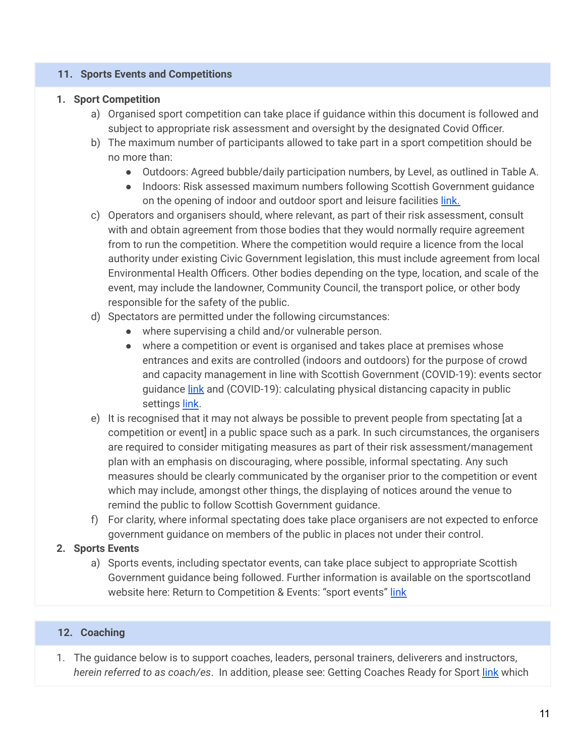### **11. Sports Events and Competitions**

#### **1. Sport Competition**

- a) Organised sport competition can take place if guidance within this document is followed and subject to appropriate risk assessment and oversight by the designated Covid Officer.
- b) The maximum number of participants allowed to take part in a sport competition should be no more than:
	- Outdoors: Agreed bubble/daily participation numbers, by Level, as outlined in Table A.
	- Indoors: Risk assessed maximum numbers following Scottish Government guidance on the opening of indoor and outdoor sport and leisure facilities [link.](https://www.gov.scot/publications/coronavirus-covid-19-guidance-on-sport-and-leisure-facilities/)
- c) Operators and organisers should, where relevant, as part of their risk assessment, consult with and obtain agreement from those bodies that they would normally require agreement from to run the competition. Where the competition would require a licence from the local authority under existing Civic Government legislation, this must include agreement from local Environmental Health Officers. Other bodies depending on the type, location, and scale of the event, may include the landowner, Community Council, the transport police, or other body responsible for the safety of the public.
- d) Spectators are permitted under the following circumstances:
	- where supervising a child and/or vulnerable person.
	- where a competition or event is organised and takes place at premises whose entrances and exits are controlled (indoors and outdoors) for the purpose of crowd and capacity management in line with Scottish Government (COVID-19): events sector guidance [link](https://www.gov.scot/publications/coronavirus-covid-19-events-sector-guidance/pages/how-to-use-this-guidance/) and (COVID-19): calculating physical distancing capacity in public settings [link](https://www.gov.scot/publications/coronavirus-covid-19-events-sector-guidance/pages/how-to-use-this-guidance/).
- e) It is recognised that it may not always be possible to prevent people from spectating [at a competition or event] in a public space such as a park. In such circumstances, the organisers are required to consider mitigating measures as part of their risk assessment/management plan with an emphasis on discouraging, where possible, informal spectating. Any such measures should be clearly communicated by the organiser prior to the competition or event which may include, amongst other things, the displaying of notices around the venue to remind the public to follow Scottish Government guidance.
- f) For clarity, where informal spectating does take place organisers are not expected to enforce government guidance on members of the public in places not under their control.

### **2. Sports Events**

a) Sports events, including spectator events, can take place subject to appropriate Scottish Government guidance being followed. Further information is available on the sportscotland website here: Return to Competition & Events: "sport events" [link](https://sportscotland.org.uk/covid-19/return-to-competitions-and-events/)

#### **12. Coaching**

1. The guidance below is to support coaches, leaders, personal trainers, deliverers and instructors, *herein referred to as coach/es*. In addition, please see: Getting Coaches Ready for Sport [link](https://sportscotland.org.uk/covid-19/getting-coaches-ready-for-sport/) which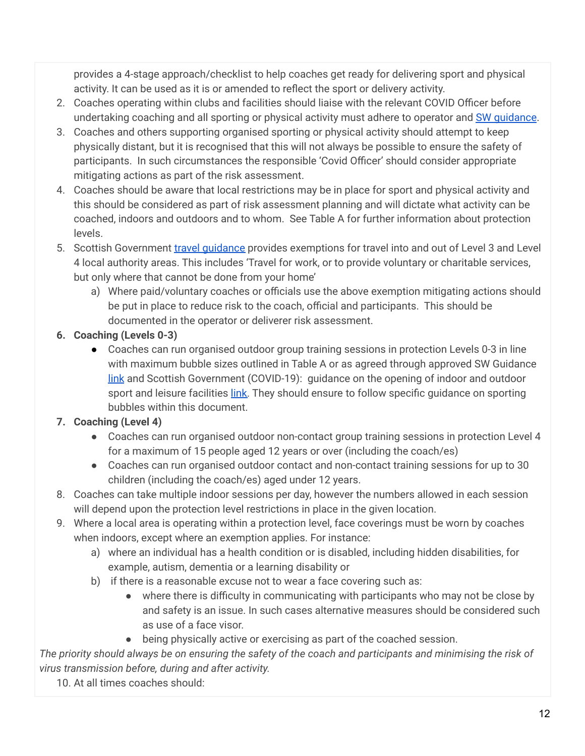provides a 4-stage approach/checklist to help coaches get ready for delivering sport and physical activity. It can be used as it is or amended to reflect the sport or delivery activity.

- 2. Coaches operating within clubs and facilities should liaise with the relevant COVID Officer before undertaking coaching and all sporting or physical activity must adhere to operator and SW [guidance.](https://wrestling.scot/news/scottish-wrestling-phase-3-route-map-covid-19)
- 3. Coaches and others supporting organised sporting or physical activity should attempt to keep physically distant, but it is recognised that this will not always be possible to ensure the safety of participants. In such circumstances the responsible 'Covid Officer' should consider appropriate mitigating actions as part of the risk assessment.
- 4. Coaches should be aware that local restrictions may be in place for sport and physical activity and this should be considered as part of risk assessment planning and will dictate what activity can be coached, indoors and outdoors and to whom. See Table A for further information about protection levels.
- 5. Scottish Government travel quidance provides exemptions for travel into and out of Level 3 and Level 4 local authority areas. This includes 'Travel for work, or to provide voluntary or charitable services, but only where that cannot be done from your home'
	- a) Where paid/voluntary coaches or officials use the above exemption mitigating actions should be put in place to reduce risk to the coach, official and participants. This should be documented in the operator or deliverer risk assessment.
- **6. Coaching (Levels 0-3)**
	- Coaches can run organised outdoor group training sessions in protection Levels 0-3 in line with maximum bubble sizes outlined in Table A or as agreed through approved SW Guidance [link](https://wrestling.scot/news/scottish-wrestling-phase-3-route-map-covid-19) and Scottish Government (COVID-19): guidance on the opening of indoor and outdoor sport and leisure facilities [link.](https://www.gov.scot/publications/coronavirus-covid-19-guidance-on-sport-and-leisure-facilities/) They should ensure to follow specific guidance on sporting bubbles within this document.

# **7. Coaching (Level 4)**

- Coaches can run organised outdoor non-contact group training sessions in protection Level 4 for a maximum of 15 people aged 12 years or over (including the coach/es)
- Coaches can run organised outdoor contact and non-contact training sessions for up to 30 children (including the coach/es) aged under 12 years.
- 8. Coaches can take multiple indoor sessions per day, however the numbers allowed in each session will depend upon the protection level restrictions in place in the given location.
- 9. Where a local area is operating within a protection level, face coverings must be worn by coaches when indoors, except where an exemption applies. For instance:
	- a) where an individual has a health condition or is disabled, including hidden disabilities, for example, autism, dementia or a learning disability or
	- b) if there is a reasonable excuse not to wear a face covering such as:
		- where there is difficulty in communicating with participants who may not be close by and safety is an issue. In such cases alternative measures should be considered such as use of a face visor.
		- being physically active or exercising as part of the coached session.

The priority should always be on ensuring the safety of the coach and participants and minimising the risk of *virus transmission before, during and after activity.*

10. At all times coaches should: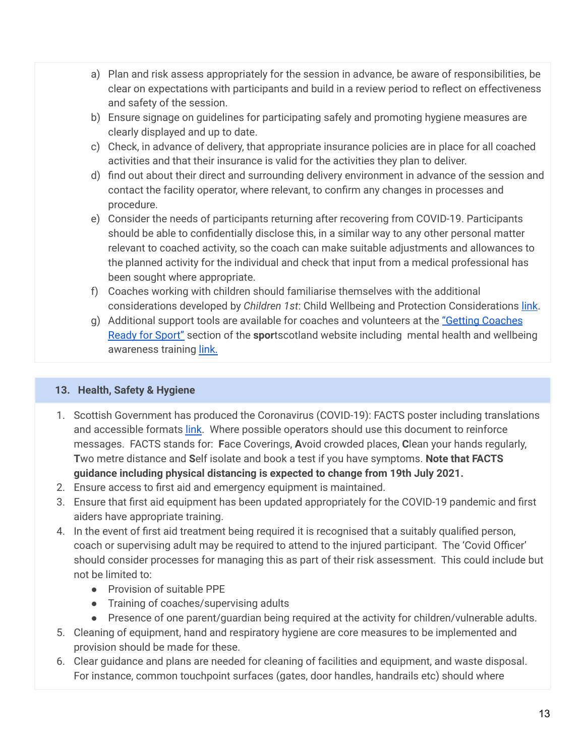- a) Plan and risk assess appropriately for the session in advance, be aware of responsibilities, be clear on expectations with participants and build in a review period to reflect on effectiveness and safety of the session.
- b) Ensure signage on guidelines for participating safely and promoting hygiene measures are clearly displayed and up to date.
- c) Check, in advance of delivery, that appropriate insurance policies are in place for all coached activities and that their insurance is valid for the activities they plan to deliver.
- d) find out about their direct and surrounding delivery environment in advance of the session and contact the facility operator, where relevant, to confirm any changes in processes and procedure.
- e) Consider the needs of participants returning after recovering from COVID-19. Participants should be able to confidentially disclose this, in a similar way to any other personal matter relevant to coached activity, so the coach can make suitable adjustments and allowances to the planned activity for the individual and check that input from a medical professional has been sought where appropriate.
- f) Coaches working with children should familiarise themselves with the additional considerations developed by *Children 1st*: Child Wellbeing and Protection Considerations [link](https://sportscotland.org.uk/media/5774/cyp-return-to-sport-after-covid-19.pdf).
- g) Additional support tools are available for coaches and volunteers at the "Getting [Coaches](https://sportscotland.org.uk/covid-19/getting-coaches-ready-for-sport/) Ready for [Sport"](https://sportscotland.org.uk/covid-19/getting-coaches-ready-for-sport/) section of the **spor**tscotland website including mental health and wellbeing awareness training [link.](https://sportscotland.info/mentalhealth/#/)

## **13. Health, Safety & Hygiene**

- 1. Scottish Government has produced the Coronavirus (COVID-19): FACTS poster including translations and accessible formats [link](https://www.gov.scot/binaries/content/documents/govscot/publications/advice-and-guidance/2020/08/coronavirus-covid-19-facts-poster-translations/documents/english/english/govscot%3Adocument/20-21%2B-%2BCoronavirus%2B-%2BTranslations%2B-%2BFACTS%2BPoster%2B-%2BEnglish%2B-%2B9%2BJuly%2B2020.pdf?forceDownload=true). Where possible operators should use this document to reinforce messages. FACTS stands for: **F**ace Coverings, **A**void crowded places, **C**lean your hands regularly, **T**wo metre distance and **S**elf isolate and book a test if you have symptoms. **Note that FACTS guidance including physical distancing is expected to change from 19th July 2021.**
- 2. Ensure access to first aid and emergency equipment is maintained.
- 3. Ensure that first aid equipment has been updated appropriately for the COVID-19 pandemic and first aiders have appropriate training.
- 4. In the event of first aid treatment being required it is recognised that a suitably qualified person, coach or supervising adult may be required to attend to the injured participant. The 'Covid Officer' should consider processes for managing this as part of their risk assessment. This could include but not be limited to:
	- Provision of suitable PPE
	- Training of coaches/supervising adults
	- Presence of one parent/guardian being required at the activity for children/vulnerable adults.
- 5. Cleaning of equipment, hand and respiratory hygiene are core measures to be implemented and provision should be made for these.
- 6. Clear guidance and plans are needed for cleaning of facilities and equipment, and waste disposal. For instance, common touchpoint surfaces (gates, door handles, handrails etc) should where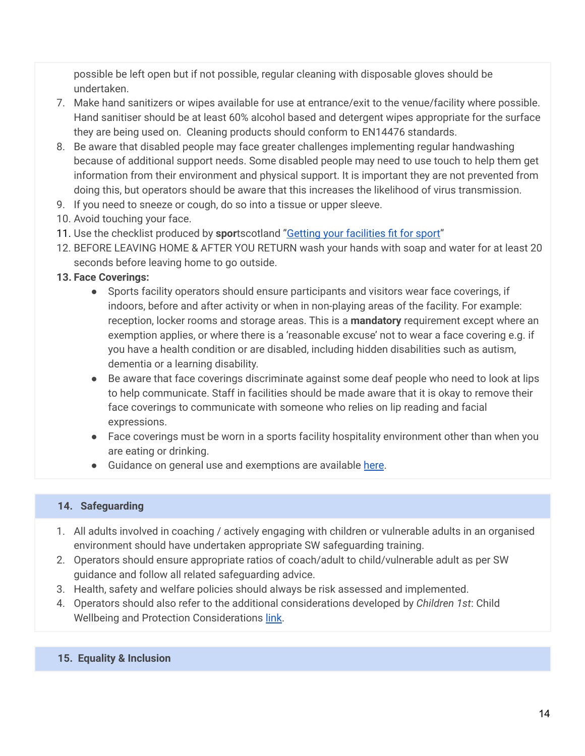possible be left open but if not possible, regular cleaning with disposable gloves should be undertaken.

- 7. Make hand sanitizers or wipes available for use at entrance/exit to the venue/facility where possible. Hand sanitiser should be at least 60% alcohol based and detergent wipes appropriate for the surface they are being used on. Cleaning products should conform to EN14476 standards.
- 8. Be aware that disabled people may face greater challenges implementing regular handwashing because of additional support needs. Some disabled people may need to use touch to help them get information from their environment and physical support. It is important they are not prevented from doing this, but operators should be aware that this increases the likelihood of virus transmission.
- 9. If you need to sneeze or cough, do so into a tissue or upper sleeve.
- 10. Avoid touching your face.
- 11. Use the checklist produced by **spor**tscotland "Getting your [facilities](https://sportscotland.org.uk/covid-19/getting-your-facilities-fit-for-sport/) fit for sport"
- 12. BEFORE LEAVING HOME & AFTER YOU RETURN wash your hands with soap and water for at least 20 seconds before leaving home to go outside.
- **13. Face Coverings:**
	- Sports facility operators should ensure participants and visitors wear face coverings, if indoors, before and after activity or when in non-playing areas of the facility. For example: reception, locker rooms and storage areas. This is a **mandatory** requirement except where an exemption applies, or where there is a 'reasonable excuse' not to wear a face covering e.g. if you have a health condition or are disabled, including hidden disabilities such as autism, dementia or a learning disability.
	- Be aware that face coverings discriminate against some deaf people who need to look at lips to help communicate. Staff in facilities should be made aware that it is okay to remove their face coverings to communicate with someone who relies on lip reading and facial expressions.
	- Face coverings must be worn in a sports facility hospitality environment other than when you are eating or drinking.
	- Guidance on general use and exemptions are available [here](https://www.gov.scot/publications/coronavirus-covid-19-phase-3-staying-safe-and-protecting-others/pages/face-coverings/).

### **14. Safeguarding**

- 1. All adults involved in coaching / actively engaging with children or vulnerable adults in an organised environment should have undertaken appropriate SW safeguarding training.
- 2. Operators should ensure appropriate ratios of coach/adult to child/vulnerable adult as per SW guidance and follow all related safeguarding advice.
- 3. Health, safety and welfare policies should always be risk assessed and implemented.
- 4. Operators should also refer to the additional considerations developed by *Children 1st*: Child Wellbeing and Protection Considerations [link](https://sportscotland.org.uk/media/5774/cyp-return-to-sport-after-covid-19.pdf).
- **15. Equality & Inclusion**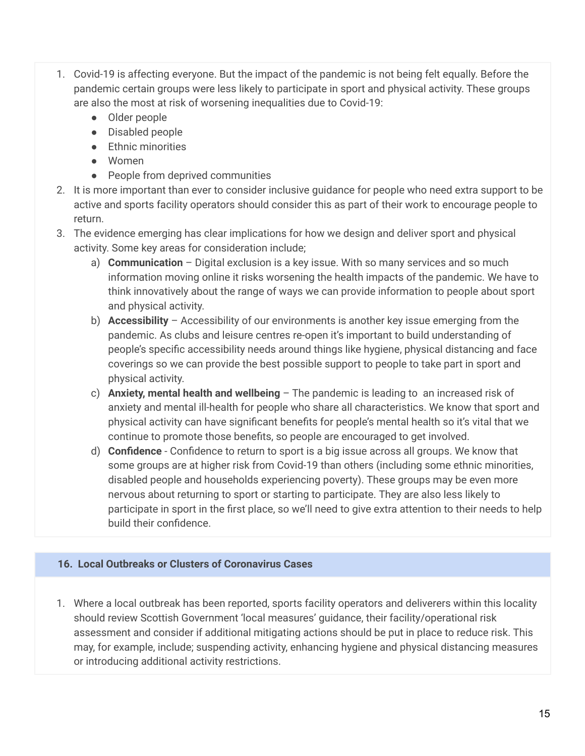- 1. Covid-19 is affecting everyone. But the impact of the pandemic is not being felt equally. Before the pandemic certain groups were less likely to participate in sport and physical activity. These groups are also the most at risk of worsening inequalities due to Covid-19:
	- Older people
	- Disabled people
	- Ethnic minorities
	- Women
	- People from deprived communities
- 2. It is more important than ever to consider inclusive guidance for people who need extra support to be active and sports facility operators should consider this as part of their work to encourage people to return.
- 3. The evidence emerging has clear implications for how we design and deliver sport and physical activity. Some key areas for consideration include;
	- a) **Communication** Digital exclusion is a key issue. With so many services and so much information moving online it risks worsening the health impacts of the pandemic. We have to think innovatively about the range of ways we can provide information to people about sport and physical activity.
	- b) **Accessibility** Accessibility of our environments is another key issue emerging from the pandemic. As clubs and leisure centres re-open it's important to build understanding of people's specific accessibility needs around things like hygiene, physical distancing and face coverings so we can provide the best possible support to people to take part in sport and physical activity.
	- c) **Anxiety, mental health and wellbeing** The pandemic is leading to an increased risk of anxiety and mental ill-health for people who share all characteristics. We know that sport and physical activity can have significant benefits for people's mental health so it's vital that we continue to promote those benefits, so people are encouraged to get involved.
	- d) **Confidence** Confidence to return to sport is a big issue across all groups. We know that some groups are at higher risk from Covid-19 than others (including some ethnic minorities, disabled people and households experiencing poverty). These groups may be even more nervous about returning to sport or starting to participate. They are also less likely to participate in sport in the first place, so we'll need to give extra attention to their needs to help build their confidence.

## **16. Local Outbreaks or Clusters of Coronavirus Cases**

1. Where a local outbreak has been reported, sports facility operators and deliverers within this locality should review Scottish Government 'local measures' guidance, their facility/operational risk assessment and consider if additional mitigating actions should be put in place to reduce risk. This may, for example, include; suspending activity, enhancing hygiene and physical distancing measures or introducing additional activity restrictions.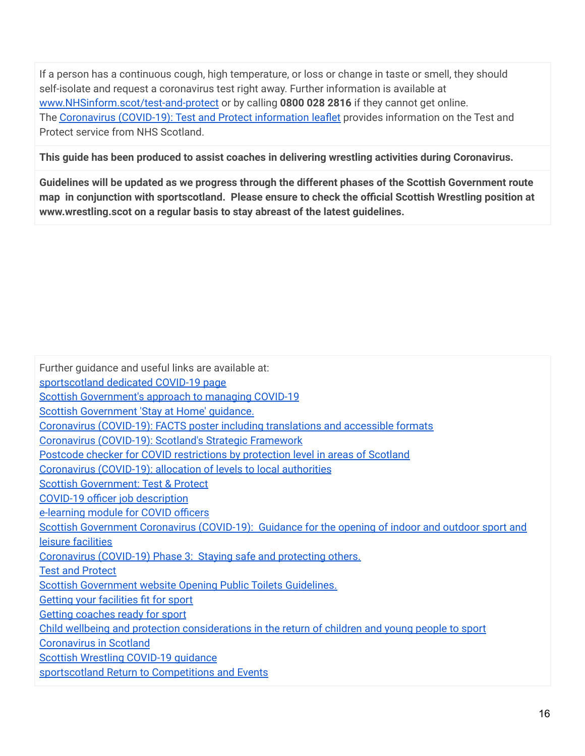If a person has a continuous cough, high temperature, or loss or change in taste or smell, they should self-isolate and request a coronavirus test right away. Further information is available at [www.NHSinform.scot/test-and-protect](http://www.nhsinform.scot/test-and-protect) or by calling **0800 028 2816** if they cannot get online. The [Coronavirus](https://www.gov.scot/publications/coronavirus-covid-19-test-and-protect-coronavirus-service/) (COVID-19): Test and Protect information leaflet provides information on the Test and Protect service from NHS Scotland.

**This guide has been produced to assist coaches in delivering wrestling activities during Coronavirus.**

**Guidelines will be updated as we progress through the different phases of the Scottish Government route map in conjunction with sportscotland. Please ensure to check the official Scottish Wrestling position at www.wrestling.scot on a regular basis to stay abreast of the latest guidelines.**

Further guidance and useful links are available at: [sportscotland](https://sportscotland.org.uk/covid-19/) dedicated COVID-19 page Scottish [Government's](https://www.gov.scot/coronavirus-covid-19/) approach to managing COVID-19 Scottish [Government](https://www.gov.scot/publications/coronavirus-covid-19-stay-at-home-guidance/) 'Stay at Home' guidance. [Coronavirus](https://www.gov.scot/binaries/content/documents/govscot/publications/advice-and-guidance/2020/08/coronavirus-covid-19-facts-poster-translations/documents/english/english/govscot%3Adocument/20-21%2B-%2BCoronavirus%2B-%2BTranslations%2B-%2BFACTS%2BPoster%2B-%2BEnglish%2B-%2B9%2BJuly%2B2020.pdf?forceDownload=true) (COVID-19): FACTS poster including translations and accessible formats [Coronavirus](https://www.gov.scot/publications/covid-19-scotlands-strategic-framework/) (COVID-19): Scotland's Strategic Framework Postcode checker for COVID [restrictions](https://www.gov.scot/check-local-covid-level/) by protection level in areas of Scotland [Coronavirus](https://www.gov.scot/publications/coronavirus-covid-19-allocation-of-levels-to-local-authorities/) (COVID-19): allocation of levels to local authorities Scottish [Government:](https://www.gov.scot/publications/coronavirus-covid-19-test-and-protect/) Test & Protect COVID-19 officer job [description](https://sportscotland.org.uk/media/5950/sportscotland-covid-officer.pdf) [e-learning](https://rise.articulate.com/share/LlEWUj-o23H_4gC1AF002jdxdrCucQC0#/) module for COVID officers Scottish [Government](https://www.gov.scot/publications/coronavirus-covid-19-guidance-on-sport-and-leisure-facilities/) Coronavirus (COVID-19): Guidance for the opening of indoor and outdoor sport and leisure [facilities](https://www.gov.scot/publications/coronavirus-covid-19-guidance-on-sport-and-leisure-facilities/) [Coronavirus](https://www.gov.scot/publications/coronavirus-covid-19-phase-3-staying-safe-and-protecting-others/pages/getting-around/) (COVID-19) Phase 3: Staying safe and protecting others. **Test and [Protect](https://www.nhsinform.scot/campaigns/test-and-protect)** Scottish [Government](https://www.gov.scot/publications/coronavirus-covid-19-public-and-customer-toilets-guidance/pages/overview/) website Opening Public Toilets Guidelines. Getting your [facilities](https://sportscotland.org.uk/covid-19/getting-your-facilities-fit-for-sport/) fit for sport Getting [coaches](https://sportscotland.org.uk/covid-19/getting-coaches-ready-for-sport/) ready for sport Child wellbeing and protection [considerations](https://sportscotland.org.uk/media/5774/cyp-return-to-sport-after-covid-19.pdf) in the return of children and young people to sport [Coronavirus](https://www.gov.scot/coronavirus-covid-19/) in Scotland Scottish Wrestling [COVID-19](https://wrestling.scot/news/scottish-wrestling-phase-3-route-map-covid-19) guidance [sportscotland](https://sportscotland.org.uk/covid-19/return-to-competitions-and-events/) Return to Competitions and Events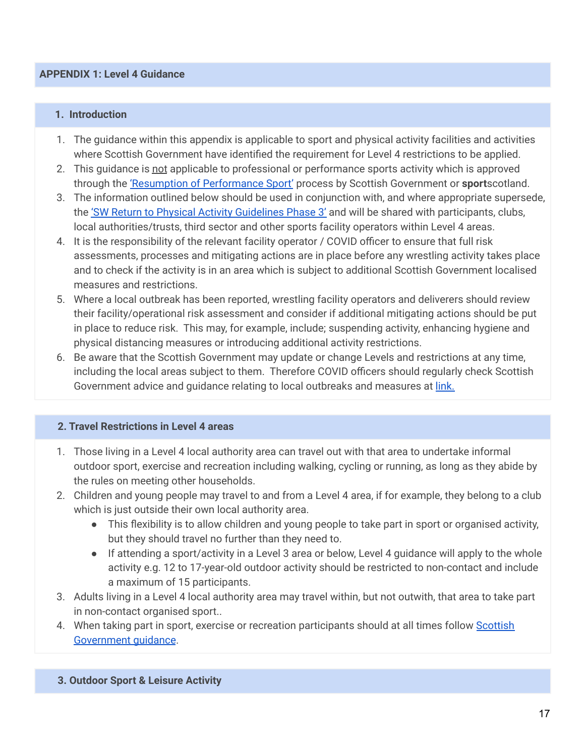#### **APPENDIX 1: Level 4 Guidance**

#### **1. Introduction**

- 1. The guidance within this appendix is applicable to sport and physical activity facilities and activities where Scottish Government have identified the requirement for Level 4 restrictions to be applied.
- 2. This quidance is not applicable to professional or performance sports activity which is approved through the 'Resumption of [Performance](https://sportscotland.org.uk/covid-19/resumption-of-performance-sport-guidance/) Sport' process by Scottish Government or **sport**scotland.
- 3. The information outlined below should be used in conjunction with, and where appropriate supersede, the 'SW Return to Physical Activity [Guidelines](https://wrestling.scot/news/scottish-wrestling-phase-3-route-map-covid-19) Phase 3' and will be shared with participants, clubs, local authorities/trusts, third sector and other sports facility operators within Level 4 areas.
- 4. It is the responsibility of the relevant facility operator / COVID officer to ensure that full risk assessments, processes and mitigating actions are in place before any wrestling activity takes place and to check if the activity is in an area which is subject to additional Scottish Government localised measures and restrictions.
- 5. Where a local outbreak has been reported, wrestling facility operators and deliverers should review their facility/operational risk assessment and consider if additional mitigating actions should be put in place to reduce risk. This may, for example, include; suspending activity, enhancing hygiene and physical distancing measures or introducing additional activity restrictions.
- 6. Be aware that the Scottish Government may update or change Levels and restrictions at any time, including the local areas subject to them. Therefore COVID officers should regularly check Scottish Government advice and guidance relating to local outbreaks and measures at [link.](https://www.gov.scot/publications/coronavirus-covid-19-protection-levels/)

### **2. Travel Restrictions in Level 4 areas**

- 1. Those living in a Level 4 local authority area can travel out with that area to undertake informal outdoor sport, exercise and recreation including walking, cycling or running, as long as they abide by the rules on meeting other households.
- 2. Children and young people may travel to and from a Level 4 area, if for example, they belong to a club which is just outside their own local authority area.
	- This flexibility is to allow children and young people to take part in sport or organised activity, but they should travel no further than they need to.
	- If attending a sport/activity in a Level 3 area or below, Level 4 guidance will apply to the whole activity e.g. 12 to 17-year-old outdoor activity should be restricted to non-contact and include a maximum of 15 participants.
- 3. Adults living in a Level 4 local authority area may travel within, but not outwith, that area to take part in non-contact organised sport..
- 4. When taking part in sport, exercise or recreation participants should at all times follow [Scottish](https://www.gov.scot/publications/coronavirus-covid-19-protection-levels/) [Government](https://www.gov.scot/publications/coronavirus-covid-19-protection-levels/) quidance.

### **3. Outdoor Sport & Leisure Activity**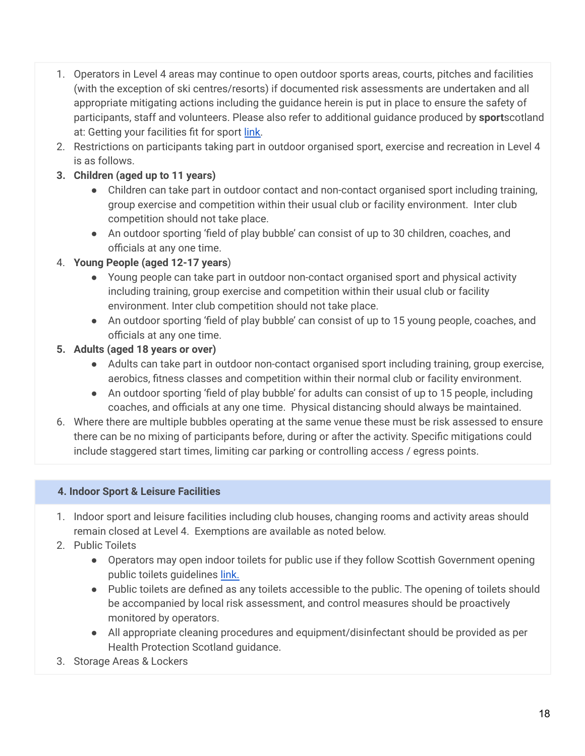- 1. Operators in Level 4 areas may continue to open outdoor sports areas, courts, pitches and facilities (with the exception of ski centres/resorts) if documented risk assessments are undertaken and all appropriate mitigating actions including the guidance herein is put in place to ensure the safety of participants, staff and volunteers. Please also refer to additional guidance produced by **sport**scotland at: Getting your facilities fit for sport [link.](https://sportscotland.org.uk/covid-19/getting-your-facilities-fit-for-sport/)
- 2. Restrictions on participants taking part in outdoor organised sport, exercise and recreation in Level 4 is as follows.
- **3. Children (aged up to 11 years)**
	- Children can take part in outdoor contact and non-contact organised sport including training, group exercise and competition within their usual club or facility environment. Inter club competition should not take place.
	- An outdoor sporting 'field of play bubble' can consist of up to 30 children, coaches, and officials at any one time.
- 4. **Young People (aged 12-17 years**)
	- Young people can take part in outdoor non-contact organised sport and physical activity including training, group exercise and competition within their usual club or facility environment. Inter club competition should not take place.
	- An outdoor sporting 'field of play bubble' can consist of up to 15 young people, coaches, and officials at any one time.
- **5. Adults (aged 18 years or over)**
	- Adults can take part in outdoor non-contact organised sport including training, group exercise, aerobics, fitness classes and competition within their normal club or facility environment.
	- An outdoor sporting 'field of play bubble' for adults can consist of up to 15 people, including coaches, and officials at any one time. Physical distancing should always be maintained.
- 6. Where there are multiple bubbles operating at the same venue these must be risk assessed to ensure there can be no mixing of participants before, during or after the activity. Specific mitigations could include staggered start times, limiting car parking or controlling access / egress points.

## **4. Indoor Sport & Leisure Facilities**

- 1. Indoor sport and leisure facilities including club houses, changing rooms and activity areas should remain closed at Level 4. Exemptions are available as noted below.
- 2. Public Toilets
	- Operators may open indoor toilets for public use if they follow Scottish Government opening public toilets guidelines [link.](https://www.gov.scot/publications/coronavirus-covid-19-public-and-customer-toilets-guidance/pages/overview/)
	- Public toilets are defined as any toilets accessible to the public. The opening of toilets should be accompanied by local risk assessment, and control measures should be proactively monitored by operators.
	- All appropriate cleaning procedures and equipment/disinfectant should be provided as per Health Protection Scotland guidance.
- 3. Storage Areas & Lockers